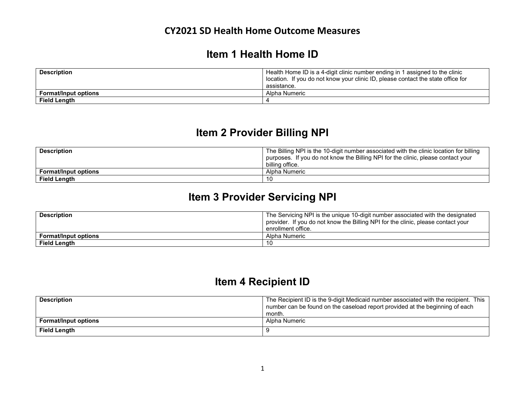### **Item 1 Health Home ID**

| <b>Description</b>          | Health Home ID is a 4-digit clinic number ending in 1 assigned to the clinic<br>l location. If you do not know your clinic ID, please contact the state office for |
|-----------------------------|--------------------------------------------------------------------------------------------------------------------------------------------------------------------|
|                             | assistance.                                                                                                                                                        |
| <b>Format/Input options</b> | Alpha Numeric                                                                                                                                                      |
| Field Length                |                                                                                                                                                                    |

# **Item 2 Provider Billing NPI**

| <b>Description</b>          | The Billing NPI is the 10-digit number associated with the clinic location for billing |
|-----------------------------|----------------------------------------------------------------------------------------|
|                             | purposes. If you do not know the Billing NPI for the clinic, please contact your       |
|                             | billing office.                                                                        |
| <b>Format/Input options</b> | Alpha Numeric                                                                          |
| <b>Field Length</b>         | 10                                                                                     |

# **Item 3 Provider Servicing NPI**

| <b>Description</b>          | The Servicing NPI is the unique 10-digit number associated with the designated   |
|-----------------------------|----------------------------------------------------------------------------------|
|                             | provider. If you do not know the Billing NPI for the clinic, please contact your |
|                             | enrollment office.                                                               |
| <b>Format/Input options</b> | Alpha Numeric                                                                    |
| Field Length                | 10                                                                               |

# **Item 4 Recipient ID**

| <b>Description</b>          | The Recipient ID is the 9-digit Medicaid number associated with the recipient. This |
|-----------------------------|-------------------------------------------------------------------------------------|
|                             | number can be found on the caseload report provided at the beginning of each        |
|                             | month.                                                                              |
| <b>Format/Input options</b> | Alpha Numeric                                                                       |
| <b>Field Length</b>         |                                                                                     |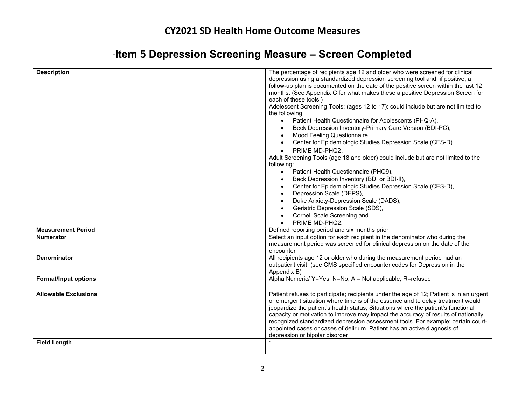| ∍Item 5 Depression Screening Measure – Screen Completed |  |
|---------------------------------------------------------|--|
|---------------------------------------------------------|--|

| <b>Description</b>          | The percentage of recipients age 12 and older who were screened for clinical<br>depression using a standardized depression screening tool and, if positive, a<br>follow-up plan is documented on the date of the positive screen within the last 12<br>months. (See Appendix C for what makes these a positive Depression Screen for<br>each of these tools.)<br>Adolescent Screening Tools: (ages 12 to 17): could include but are not limited to<br>the following<br>Patient Health Questionnaire for Adolescents (PHQ-A),<br>$\bullet$<br>Beck Depression Inventory-Primary Care Version (BDI-PC),<br>Mood Feeling Questionnaire,<br>Center for Epidemiologic Studies Depression Scale (CES-D)<br>PRIME MD-PHQ2.<br>Adult Screening Tools (age 18 and older) could include but are not limited to the<br>following:<br>Patient Health Questionnaire (PHQ9),<br>$\bullet$<br>Beck Depression Inventory (BDI or BDI-II),<br>Center for Epidemiologic Studies Depression Scale (CES-D),<br>Depression Scale (DEPS),<br>Duke Anxiety-Depression Scale (DADS),<br>Geriatric Depression Scale (SDS),<br>Cornell Scale Screening and<br>PRIME MD-PHQ2. |
|-----------------------------|----------------------------------------------------------------------------------------------------------------------------------------------------------------------------------------------------------------------------------------------------------------------------------------------------------------------------------------------------------------------------------------------------------------------------------------------------------------------------------------------------------------------------------------------------------------------------------------------------------------------------------------------------------------------------------------------------------------------------------------------------------------------------------------------------------------------------------------------------------------------------------------------------------------------------------------------------------------------------------------------------------------------------------------------------------------------------------------------------------------------------------------------------|
| <b>Measurement Period</b>   | Defined reporting period and six months prior                                                                                                                                                                                                                                                                                                                                                                                                                                                                                                                                                                                                                                                                                                                                                                                                                                                                                                                                                                                                                                                                                                      |
| <b>Numerator</b>            | Select an input option for each recipient in the denominator who during the<br>measurement period was screened for clinical depression on the date of the<br>encounter                                                                                                                                                                                                                                                                                                                                                                                                                                                                                                                                                                                                                                                                                                                                                                                                                                                                                                                                                                             |
| <b>Denominator</b>          | All recipients age 12 or older who during the measurement period had an<br>outpatient visit. (see CMS specified encounter codes for Depression in the<br>Appendix B)                                                                                                                                                                                                                                                                                                                                                                                                                                                                                                                                                                                                                                                                                                                                                                                                                                                                                                                                                                               |
| <b>Format/Input options</b> | Alpha Numeric/ Y=Yes, N=No, A = Not applicable, R=refused                                                                                                                                                                                                                                                                                                                                                                                                                                                                                                                                                                                                                                                                                                                                                                                                                                                                                                                                                                                                                                                                                          |
| <b>Allowable Exclusions</b> | Patient refuses to participate; recipients under the age of 12; Patient is in an urgent<br>or emergent situation where time is of the essence and to delay treatment would<br>jeopardize the patient's health status; Situations where the patient's functional<br>capacity or motivation to improve may impact the accuracy of results of nationally<br>recognized standardized depression assessment tools. For example: certain court-<br>appointed cases or cases of delirium. Patient has an active diagnosis of<br>depression or bipolar disorder                                                                                                                                                                                                                                                                                                                                                                                                                                                                                                                                                                                            |
| <b>Field Length</b>         |                                                                                                                                                                                                                                                                                                                                                                                                                                                                                                                                                                                                                                                                                                                                                                                                                                                                                                                                                                                                                                                                                                                                                    |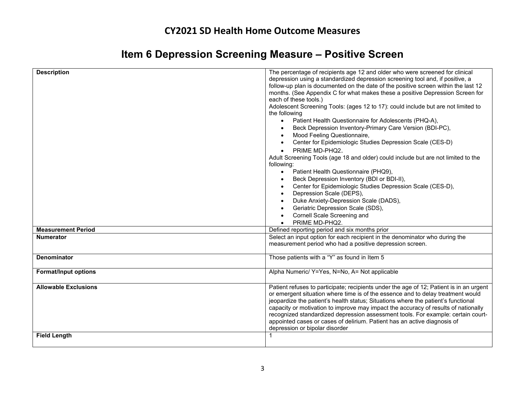| <b>Description</b>                                 | The percentage of recipients age 12 and older who were screened for clinical<br>depression using a standardized depression screening tool and, if positive, a<br>follow-up plan is documented on the date of the positive screen within the last 12<br>months. (See Appendix C for what makes these a positive Depression Screen for<br>each of these tools.)<br>Adolescent Screening Tools: (ages 12 to 17): could include but are not limited to<br>the following<br>Patient Health Questionnaire for Adolescents (PHQ-A),<br>$\bullet$<br>Beck Depression Inventory-Primary Care Version (BDI-PC),<br>Mood Feeling Questionnaire,<br>Center for Epidemiologic Studies Depression Scale (CES-D)<br>PRIME MD-PHQ2.<br>Adult Screening Tools (age 18 and older) could include but are not limited to the<br>following:<br>Patient Health Questionnaire (PHQ9),<br>$\bullet$<br>Beck Depression Inventory (BDI or BDI-II),<br>Center for Epidemiologic Studies Depression Scale (CES-D),<br>Depression Scale (DEPS),<br>Duke Anxiety-Depression Scale (DADS),<br>Geriatric Depression Scale (SDS),<br>Cornell Scale Screening and<br>PRIME MD-PHQ2. |
|----------------------------------------------------|----------------------------------------------------------------------------------------------------------------------------------------------------------------------------------------------------------------------------------------------------------------------------------------------------------------------------------------------------------------------------------------------------------------------------------------------------------------------------------------------------------------------------------------------------------------------------------------------------------------------------------------------------------------------------------------------------------------------------------------------------------------------------------------------------------------------------------------------------------------------------------------------------------------------------------------------------------------------------------------------------------------------------------------------------------------------------------------------------------------------------------------------------|
| <b>Measurement Period</b>                          | Defined reporting period and six months prior                                                                                                                                                                                                                                                                                                                                                                                                                                                                                                                                                                                                                                                                                                                                                                                                                                                                                                                                                                                                                                                                                                      |
| <b>Numerator</b>                                   | Select an input option for each recipient in the denominator who during the                                                                                                                                                                                                                                                                                                                                                                                                                                                                                                                                                                                                                                                                                                                                                                                                                                                                                                                                                                                                                                                                        |
|                                                    | measurement period who had a positive depression screen.                                                                                                                                                                                                                                                                                                                                                                                                                                                                                                                                                                                                                                                                                                                                                                                                                                                                                                                                                                                                                                                                                           |
| <b>Denominator</b>                                 | Those patients with a "Y" as found in Item 5                                                                                                                                                                                                                                                                                                                                                                                                                                                                                                                                                                                                                                                                                                                                                                                                                                                                                                                                                                                                                                                                                                       |
| <b>Format/Input options</b>                        | Alpha Numeric/ Y=Yes, N=No, A= Not applicable                                                                                                                                                                                                                                                                                                                                                                                                                                                                                                                                                                                                                                                                                                                                                                                                                                                                                                                                                                                                                                                                                                      |
| <b>Allowable Exclusions</b><br><b>Field Length</b> | Patient refuses to participate; recipients under the age of 12; Patient is in an urgent<br>or emergent situation where time is of the essence and to delay treatment would<br>jeopardize the patient's health status; Situations where the patient's functional<br>capacity or motivation to improve may impact the accuracy of results of nationally<br>recognized standardized depression assessment tools. For example: certain court-<br>appointed cases or cases of delirium. Patient has an active diagnosis of<br>depression or bipolar disorder                                                                                                                                                                                                                                                                                                                                                                                                                                                                                                                                                                                            |
|                                                    |                                                                                                                                                                                                                                                                                                                                                                                                                                                                                                                                                                                                                                                                                                                                                                                                                                                                                                                                                                                                                                                                                                                                                    |

# **Item 6 Depression Screening Measure – Positive Screen**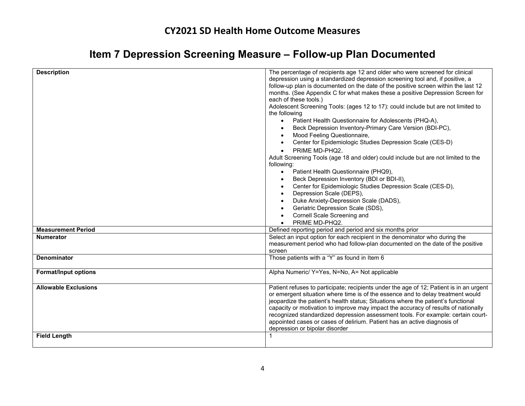# **Item 7 Depression Screening Measure – Follow-up Plan Documented**

| <b>Description</b>          | The percentage of recipients age 12 and older who were screened for clinical<br>depression using a standardized depression screening tool and, if positive, a<br>follow-up plan is documented on the date of the positive screen within the last 12<br>months. (See Appendix C for what makes these a positive Depression Screen for<br>each of these tools.)<br>Adolescent Screening Tools: (ages 12 to 17): could include but are not limited to<br>the following<br>Patient Health Questionnaire for Adolescents (PHQ-A),<br>$\bullet$<br>Beck Depression Inventory-Primary Care Version (BDI-PC),<br>Mood Feeling Questionnaire,<br>$\bullet$<br>Center for Epidemiologic Studies Depression Scale (CES-D)<br>PRIME MD-PHQ2.<br>$\bullet$<br>Adult Screening Tools (age 18 and older) could include but are not limited to the<br>following:<br>Patient Health Questionnaire (PHQ9),<br>$\bullet$<br>Beck Depression Inventory (BDI or BDI-II),<br>Center for Epidemiologic Studies Depression Scale (CES-D),<br>Depression Scale (DEPS),<br>Duke Anxiety-Depression Scale (DADS),<br>Geriatric Depression Scale (SDS),<br>Cornell Scale Screening and<br>PRIME MD-PHQ2. |
|-----------------------------|------------------------------------------------------------------------------------------------------------------------------------------------------------------------------------------------------------------------------------------------------------------------------------------------------------------------------------------------------------------------------------------------------------------------------------------------------------------------------------------------------------------------------------------------------------------------------------------------------------------------------------------------------------------------------------------------------------------------------------------------------------------------------------------------------------------------------------------------------------------------------------------------------------------------------------------------------------------------------------------------------------------------------------------------------------------------------------------------------------------------------------------------------------------------------|
| <b>Measurement Period</b>   | Defined reporting period and period and six months prior                                                                                                                                                                                                                                                                                                                                                                                                                                                                                                                                                                                                                                                                                                                                                                                                                                                                                                                                                                                                                                                                                                                     |
| Numerator                   | Select an input option for each recipient in the denominator who during the<br>measurement period who had follow-plan documented on the date of the positive<br>screen                                                                                                                                                                                                                                                                                                                                                                                                                                                                                                                                                                                                                                                                                                                                                                                                                                                                                                                                                                                                       |
| <b>Denominator</b>          | Those patients with a $\frac{1}{4}$ as found in Item 6                                                                                                                                                                                                                                                                                                                                                                                                                                                                                                                                                                                                                                                                                                                                                                                                                                                                                                                                                                                                                                                                                                                       |
| <b>Format/Input options</b> | Alpha Numeric/ Y=Yes, N=No, A= Not applicable                                                                                                                                                                                                                                                                                                                                                                                                                                                                                                                                                                                                                                                                                                                                                                                                                                                                                                                                                                                                                                                                                                                                |
| <b>Allowable Exclusions</b> | Patient refuses to participate; recipients under the age of 12; Patient is in an urgent<br>or emergent situation where time is of the essence and to delay treatment would<br>jeopardize the patient's health status; Situations where the patient's functional<br>capacity or motivation to improve may impact the accuracy of results of nationally<br>recognized standardized depression assessment tools. For example: certain court-<br>appointed cases or cases of delirium. Patient has an active diagnosis of<br>depression or bipolar disorder                                                                                                                                                                                                                                                                                                                                                                                                                                                                                                                                                                                                                      |
| <b>Field Length</b>         |                                                                                                                                                                                                                                                                                                                                                                                                                                                                                                                                                                                                                                                                                                                                                                                                                                                                                                                                                                                                                                                                                                                                                                              |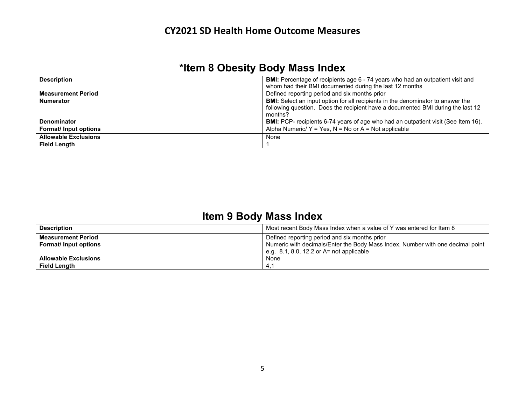# **\*Item 8 Obesity Body Mass Index**

| <b>Description</b>          | <b>BMI:</b> Percentage of recipients age 6 - 74 years who had an outpatient visit and    |
|-----------------------------|------------------------------------------------------------------------------------------|
|                             | whom had their BMI documented during the last 12 months                                  |
| <b>Measurement Period</b>   | Defined reporting period and six months prior                                            |
| <b>Numerator</b>            | <b>BMI:</b> Select an input option for all recipients in the denominator to answer the   |
|                             | following question. Does the recipient have a documented BMI during the last 12          |
|                             | months?                                                                                  |
| <b>Denominator</b>          | <b>BMI:</b> PCP- recipients 6-74 years of age who had an outpatient visit (See Item 16). |
| Format/ Input options       | Alpha Numeric/ $Y = Yes$ , $N = No$ or $A = Not$ applicable                              |
| <b>Allowable Exclusions</b> | None                                                                                     |
| <b>Field Length</b>         |                                                                                          |

# **Item 9 Body Mass Index**

| <b>Description</b>          | Most recent Body Mass Index when a value of Y was entered for Item 8           |
|-----------------------------|--------------------------------------------------------------------------------|
| <b>Measurement Period</b>   | Defined reporting period and six months prior                                  |
| <b>Format/Input options</b> | Numeric with decimals/Enter the Body Mass Index. Number with one decimal point |
|                             | e.g. $8.1, 8.0, 12.2$ or $A = \text{not applicable}$                           |
| <b>Allowable Exclusions</b> | None                                                                           |
| <b>Field Length</b>         | -4.                                                                            |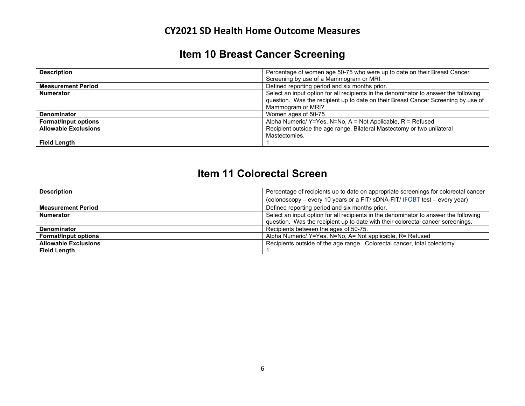# **Item 10 Breast Cancer Screening**

| <b>Description</b>          | Percentage of women age 50-75 who were up to date on their Breast Cancer             |
|-----------------------------|--------------------------------------------------------------------------------------|
|                             | Screening by use of a Mammogram or MRI.                                              |
| <b>Measurement Period</b>   | Defined reporting period and six months prior.                                       |
| <b>Numerator</b>            | Select an input option for all recipients in the denominator to answer the following |
|                             | question. Was the recipient up to date on their Breast Cancer Screening by use of    |
|                             | Mammogram or MRI?                                                                    |
| <b>Denominator</b>          | Women ages of 50-75                                                                  |
| <b>Format/Input options</b> | Alpha Numeric/ $Y = Yes$ , N=No, A = Not Applicable, R = Refused                     |
| <b>Allowable Exclusions</b> | Recipient outside the age range, Bilateral Mastectomy or two unilateral              |
|                             | Mastectomies.                                                                        |
| <b>Field Length</b>         |                                                                                      |

# **Item 11 Colorectal Screen**

| <b>Description</b>          | Percentage of recipients up to date on appropriate screenings for colorectal cancer  |
|-----------------------------|--------------------------------------------------------------------------------------|
|                             | (colonoscopy - every 10 years or a FIT/ sDNA-FIT/ iFOBT test - every year)           |
| <b>Measurement Period</b>   | Defined reporting period and six months prior.                                       |
| <b>Numerator</b>            | Select an input option for all recipients in the denominator to answer the following |
|                             | question. Was the recipient up to date with their colorectal cancer screenings.      |
| Denominator                 | Recipients between the ages of 50-75.                                                |
| <b>Format/Input options</b> | Alpha Numeric/ Y=Yes, N=No, A= Not applicable, R= Refused                            |
| <b>Allowable Exclusions</b> | Recipients outside of the age range. Colorectal cancer, total colectomy              |
| <b>Field Length</b>         |                                                                                      |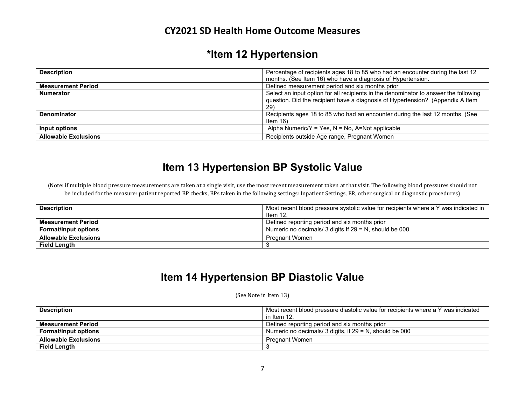# **\*Item 12 Hypertension**

| <b>Description</b>          | Percentage of recipients ages 18 to 85 who had an encounter during the last 12       |
|-----------------------------|--------------------------------------------------------------------------------------|
|                             | months. (See Item 16) who have a diagnosis of Hypertension.                          |
| <b>Measurement Period</b>   | Defined measurement period and six months prior                                      |
| <b>Numerator</b>            | Select an input option for all recipients in the denominator to answer the following |
|                             | question. Did the recipient have a diagnosis of Hypertension? (Appendix A Item       |
|                             | 29)                                                                                  |
| <b>Denominator</b>          | Recipients ages 18 to 85 who had an encounter during the last 12 months. (See        |
|                             | Item $16$ )                                                                          |
| Input options               | Alpha Numeric/Y = Yes, N = No, A=Not applicable                                      |
| <b>Allowable Exclusions</b> | Recipients outside Age range, Pregnant Women                                         |

## **Item 13 Hypertension BP Systolic Value**

(Note: if multiple blood pressure measurements are taken at a single visit, use the most recent measurement taken at that visit. The following blood pressures should not be included for the measure: patient reported BP checks, BPs taken in the following settings: Inpatient Settings, ER, other surgical or diagnostic procedures)

| <b>Description</b>          | Most recent blood pressure systolic value for recipients where a Y was indicated in<br>Item $12$ . |
|-----------------------------|----------------------------------------------------------------------------------------------------|
| <b>Measurement Period</b>   | Defined reporting period and six months prior                                                      |
| <b>Format/Input options</b> | Numeric no decimals/ 3 digits If $29 = N$ , should be 000                                          |
| <b>Allowable Exclusions</b> | <b>Pregnant Women</b>                                                                              |
| <b>Field Length</b>         |                                                                                                    |

# **Item 14 Hypertension BP Diastolic Value**

(See Note in Item 13)

| <b>Description</b>          | Most recent blood pressure diastolic value for recipients where a Y was indicated |
|-----------------------------|-----------------------------------------------------------------------------------|
|                             | in Item 12.                                                                       |
| <b>Measurement Period</b>   | Defined reporting period and six months prior                                     |
| <b>Format/Input options</b> | Numeric no decimals/ 3 digits, if 29 = N, should be 000                           |
| <b>Allowable Exclusions</b> | Pregnant Women                                                                    |
| <b>Field Length</b>         |                                                                                   |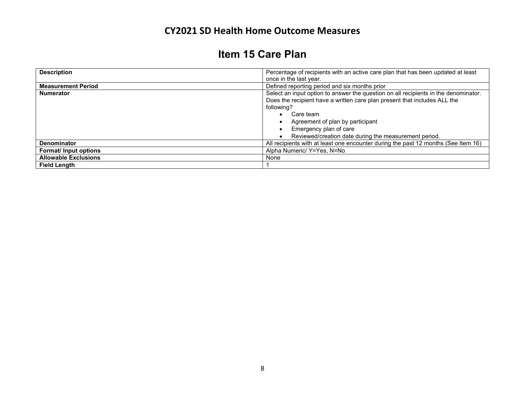# **Item 15 Care Plan**

| <b>Description</b>          | Percentage of recipients with an active care plan that has been updated at least    |
|-----------------------------|-------------------------------------------------------------------------------------|
|                             | once in the last year.                                                              |
| <b>Measurement Period</b>   | Defined reporting period and six months prior                                       |
| <b>Numerator</b>            | Select an input option to answer the question on all recipients in the denominator. |
|                             | Does the recipient have a written care plan present that includes ALL the           |
|                             | following?                                                                          |
|                             | Care team                                                                           |
|                             | Agreement of plan by participant                                                    |
|                             | Emergency plan of care                                                              |
|                             | Reviewed/creation date during the measurement period.                               |
| <b>Denominator</b>          | All recipients with at least one encounter during the past 12 months (See Item 16)  |
| Format/ Input options       | Alpha Numeric/ Y=Yes, N=No                                                          |
| <b>Allowable Exclusions</b> | None                                                                                |
| <b>Field Lenath</b>         |                                                                                     |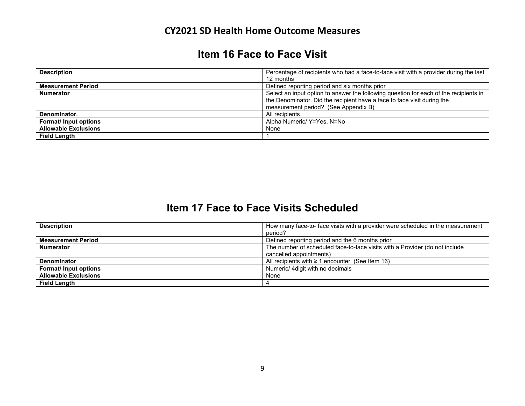## **Item 16 Face to Face Visit**

| <b>Description</b>          | Percentage of recipients who had a face-to-face visit with a provider during the last<br>12 months                                                                                                       |
|-----------------------------|----------------------------------------------------------------------------------------------------------------------------------------------------------------------------------------------------------|
| <b>Measurement Period</b>   | Defined reporting period and six months prior                                                                                                                                                            |
| <b>Numerator</b>            | Select an input option to answer the following question for each of the recipients in<br>the Denominator. Did the recipient have a face to face visit during the<br>measurement period? (See Appendix B) |
| Denominator.                | All recipients                                                                                                                                                                                           |
| Format/ Input options       | Alpha Numeric/ Y=Yes, N=No                                                                                                                                                                               |
| <b>Allowable Exclusions</b> | None                                                                                                                                                                                                     |
| <b>Field Length</b>         |                                                                                                                                                                                                          |

### **Item 17 Face to Face Visits Scheduled**

| <b>Description</b>          | How many face-to- face visits with a provider were scheduled in the measurement |
|-----------------------------|---------------------------------------------------------------------------------|
|                             | period?                                                                         |
| <b>Measurement Period</b>   | Defined reporting period and the 6 months prior                                 |
| <b>Numerator</b>            | The number of scheduled face-to-face visits with a Provider (do not include     |
|                             | cancelled appointments)                                                         |
| <b>Denominator</b>          | All recipients with $\geq 1$ encounter. (See Item 16)                           |
| Format/ Input options       | Numeric/ 4digit with no decimals                                                |
| <b>Allowable Exclusions</b> | None                                                                            |
| <b>Field Length</b>         |                                                                                 |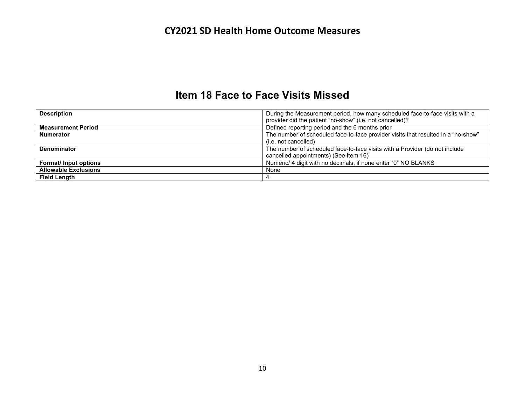### **Item 18 Face to Face Visits Missed**

| <b>Description</b>          | During the Measurement period, how many scheduled face-to-face visits with a<br>provider did the patient "no-show" (i.e. not cancelled)? |
|-----------------------------|------------------------------------------------------------------------------------------------------------------------------------------|
| <b>Measurement Period</b>   | Defined reporting period and the 6 months prior                                                                                          |
| <b>Numerator</b>            | The number of scheduled face-to-face provider visits that resulted in a "no-show"                                                        |
|                             | (i.e. not cancelled)                                                                                                                     |
| <b>Denominator</b>          | The number of scheduled face-to-face visits with a Provider (do not include                                                              |
|                             | cancelled appointments) (See Item 16)                                                                                                    |
| <b>Format/Input options</b> | Numeric/ 4 digit with no decimals, if none enter "0" NO BLANKS                                                                           |
| <b>Allowable Exclusions</b> | None                                                                                                                                     |
| <b>Field Length</b>         |                                                                                                                                          |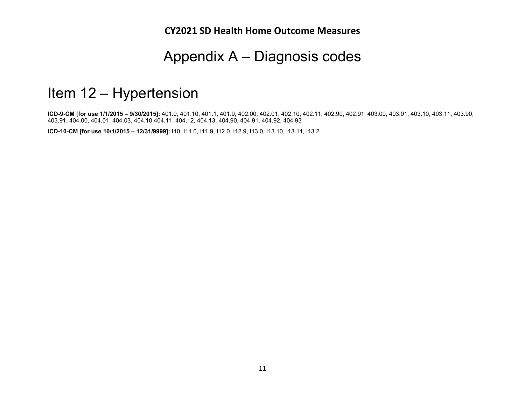# Appendix A – Diagnosis codes

# Item 12 – Hypertension

**ICD-9-CM [for use 1/1/2015 – 9/30/2015]:** 401.0, 401.10, 401.1, 401.9, 402.00, 402.01, 402.10, 402.11, 402.90, 402.91, 403.00, 403.01, 403.10, 403.11, 403.90, 403.91, 404.00, 404.01, 404.03, 404.10 404.11, 404.12, 404.13, 404.90, 404.91, 404.92, 404.93

**ICD-10-CM [for use 10/1/2015 – 12/31/9999]:** I10, I11.0, I11.9, I12.0, I12.9, I13.0, I13.10, I13.11, I13.2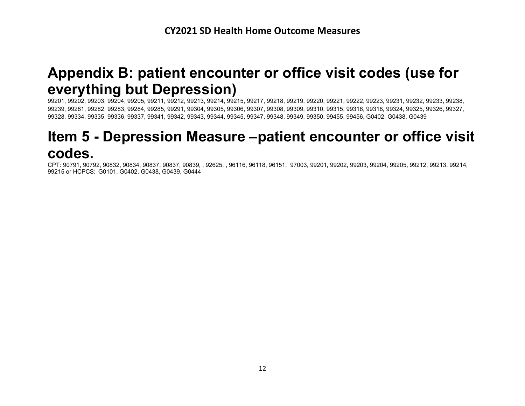# **Appendix B: patient encounter or office visit codes (use for everything but Depression)**

99201, 99202, 99203, 99204, 99205, 99211, 99212, 99213, 99214, 99215, 99217, 99218, 99219, 99220, 99221, 99222, 99223, 99231, 99232, 99233, 99238, 99239, 99281, 99282, 99283, 99284, 99285, 99291, 99304, 99305, 99306, 99307, 99308, 99309, 99310, 99315, 99316, 99318, 99324, 99325, 99326, 99327, 99328, 99334, 99335, 99336, 99337, 99341, 99342, 99343, 99344, 99345, 99347, 99348, 99349, 99350, 99455, 99456, G0402, G0438, G0439

# **Item 5 - Depression Measure –patient encounter or office visit codes.**

CPT: 90791, 90792, 90832, 90834, 90837, 90837, 90839, , 92625, , 96116, 96118, 96151, 97003, 99201, 99202, 99203, 99204, 99205, 99212, 99213, 99214, 99215 or HCPCS: G0101, G0402, G0438, G0439, G0444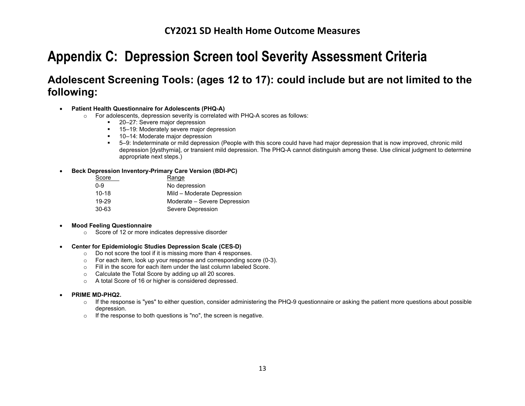# **Appendix C: Depression Screen tool Severity Assessment Criteria**

# **Adolescent Screening Tools: (ages 12 to 17): could include but are not limited to the following:**

#### • **Patient Health Questionnaire for Adolescents (PHQ-A)**

- o For adolescents, depression severity is correlated with PHQ-A scores as follows:
	- 20–27: Severe major depression
	- <sup>15–19:</sup> Moderately severe major depression
	- 10–14: Moderate major depression
	- 5–9: Indeterminate or mild depression (People with this score could have had major depression that is now improved, chronic mild depression [dysthymia], or transient mild depression. The PHQ-A cannot distinguish among these. Use clinical judgment to determine appropriate next steps.)

#### • **Beck Depression Inventory-Primary Care Version (BDI-PC)**

| Score     | Range                        |
|-----------|------------------------------|
| $0 - 9$   | No depression                |
| $10 - 18$ | Mild - Moderate Depression   |
| 19-29     | Moderate – Severe Depression |
| 30-63     | Severe Depression            |

#### • **Mood Feeling Questionnaire**

o Score of 12 or more indicates depressive disorder

#### • **Center for Epidemiologic Studies Depression Scale (CES-D)**

- o Do not score the tool if it is missing more than 4 responses.
- $\circ$  For each item, look up your response and corresponding score (0-3).<br>  $\circ$  Fill in the score for each item under the last column labeled Score.
- Fill in the score for each item under the last column labeled Score.
- o Calculate the Total Score by adding up all 20 scores.
- o A total Score of 16 or higher is considered depressed.

#### • **PRIME MD-PHQ2.**

- $\circ$  If the response is "yes" to either question, consider administering the PHQ-9 questionnaire or asking the patient more questions about possible depression.
- o If the response to both questions is "no", the screen is negative.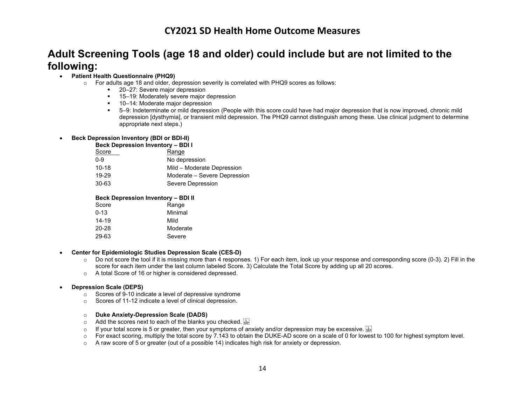### **Adult Screening Tools (age 18 and older) could include but are not limited to the following:**

#### • **Patient Health Questionnaire (PHQ9)**

- $\circ$  For adults age 18 and older, depression severity is correlated with PHQ9 scores as follows:
	- 20–27: Severe major depression
		- 15–19: Moderately severe major depression
		- 10–14: Moderate major depression
		- 5–9: Indeterminate or mild depression (People with this score could have had major depression that is now improved, chronic mild depression [dysthymia], or transient mild depression. The PHQ9 cannot distinguish among these. Use clinical judgment to determine appropriate next steps.)

#### • **Beck Depression Inventory (BDI or BDI-II)**

#### **Beck Depression Inventory – BDI I**

| Score     | Range                        |
|-----------|------------------------------|
| $0 - 9$   | No depression                |
| $10 - 18$ | Mild – Moderate Depression   |
| 19-29     | Moderate – Severe Depression |
| 30-63     | Severe Depression            |
|           |                              |

#### **Beck Depression Inventory – BDI II**

| Score     | Range    |
|-----------|----------|
| $0 - 13$  | Minimal  |
| $14 - 19$ | Mild     |
| 20-28     | Moderate |
| 29-63     | Severe   |

#### • **Center for Epidemiologic Studies Depression Scale (CES-D)**

- $\circ$  Do not score the tool if it is missing more than 4 responses. 1) For each item, look up your response and corresponding score (0-3). 2) Fill in the score for each item under the last column labeled Score. 3) Calculate the Total Score by adding up all 20 scores.
- o A total Score of 16 or higher is considered depressed.

#### • **Depression Scale (DEPS)**

- o Scores of 9-10 indicate a level of depressive syndrome
- o Scores of 11-12 indicate a level of clinical depression.

#### o **Duke Anxiety-Depression Scale (DADS)**

- $\circ$  Add the scores next to each of the blanks you checked.
- $\circ$  If your total score is 5 or greater, then your symptoms of anxiety and/or depression may be excessive.  $\frac{17}{200}$ <br> $\circ$  For exact scoring, multiply the total score by 7.143 to obtain the DUKE-AD score on a scale of
- For exact scoring, multiply the total score by 7.143 to obtain the DUKE-AD score on a scale of 0 for lowest to 100 for highest symptom level.
- $\circ$  A raw score of 5 or greater (out of a possible 14) indicates high risk for anxiety or depression.